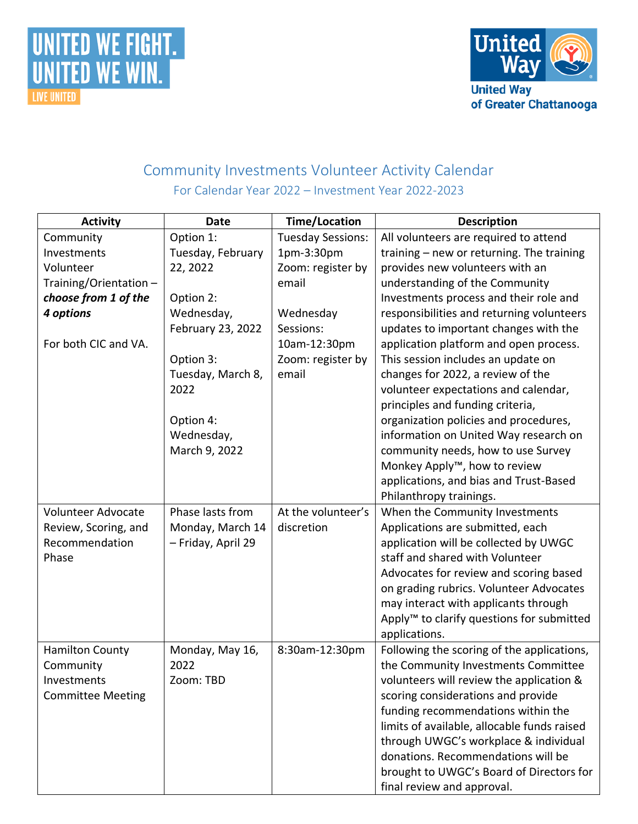



## Community Investments Volunteer Activity Calendar For Calendar Year 2022 – Investment Year 2022-2023

| <b>Activity</b>          | <b>Date</b>        | <b>Time/Location</b>     | <b>Description</b>                                    |
|--------------------------|--------------------|--------------------------|-------------------------------------------------------|
| Community                | Option 1:          | <b>Tuesday Sessions:</b> | All volunteers are required to attend                 |
| Investments              | Tuesday, February  | 1pm-3:30pm               | training - new or returning. The training             |
| Volunteer                | 22, 2022           | Zoom: register by        | provides new volunteers with an                       |
| Training/Orientation -   |                    | email                    | understanding of the Community                        |
| choose from 1 of the     | Option 2:          |                          | Investments process and their role and                |
| 4 options                | Wednesday,         | Wednesday                | responsibilities and returning volunteers             |
|                          | February 23, 2022  | Sessions:                | updates to important changes with the                 |
| For both CIC and VA.     |                    | 10am-12:30pm             | application platform and open process.                |
|                          | Option 3:          | Zoom: register by        | This session includes an update on                    |
|                          | Tuesday, March 8,  | email                    | changes for 2022, a review of the                     |
|                          | 2022               |                          | volunteer expectations and calendar,                  |
|                          |                    |                          | principles and funding criteria,                      |
|                          | Option 4:          |                          | organization policies and procedures,                 |
|                          | Wednesday,         |                          | information on United Way research on                 |
|                          | March 9, 2022      |                          | community needs, how to use Survey                    |
|                          |                    |                          | Monkey Apply <sup>™</sup> , how to review             |
|                          |                    |                          | applications, and bias and Trust-Based                |
|                          |                    |                          | Philanthropy trainings.                               |
| Volunteer Advocate       | Phase lasts from   | At the volunteer's       | When the Community Investments                        |
| Review, Scoring, and     | Monday, March 14   | discretion               | Applications are submitted, each                      |
| Recommendation           | - Friday, April 29 |                          | application will be collected by UWGC                 |
| Phase                    |                    |                          | staff and shared with Volunteer                       |
|                          |                    |                          | Advocates for review and scoring based                |
|                          |                    |                          | on grading rubrics. Volunteer Advocates               |
|                          |                    |                          | may interact with applicants through                  |
|                          |                    |                          | Apply <sup>™</sup> to clarify questions for submitted |
|                          |                    |                          | applications.                                         |
| <b>Hamilton County</b>   | Monday, May 16,    | 8:30am-12:30pm           | Following the scoring of the applications,            |
| Community                | 2022               |                          | the Community Investments Committee                   |
| Investments              | Zoom: TBD          |                          | volunteers will review the application &              |
| <b>Committee Meeting</b> |                    |                          | scoring considerations and provide                    |
|                          |                    |                          | funding recommendations within the                    |
|                          |                    |                          | limits of available, allocable funds raised           |
|                          |                    |                          | through UWGC's workplace & individual                 |
|                          |                    |                          | donations. Recommendations will be                    |
|                          |                    |                          | brought to UWGC's Board of Directors for              |
|                          |                    |                          | final review and approval.                            |